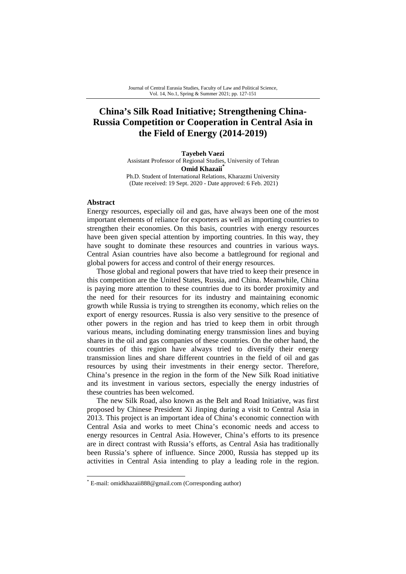# **China's Silk Road Initiative; Strengthening China-Russia Competition or Cooperation in Central Asia in the Field of Energy (2014-2019)**

**Tayebeh Vaezi**  Assistant Professor of Regional Studies, University of Tehran **Omid Khazaii**<sup>\*</sup>

Ph.D. Student of International Relations, Kharazmi University (Date received: 19 Sept. 2020 - Date approved: 6 Feb. 2021)

#### **Abstract**

Energy resources, especially oil and gas, have always been one of the most important elements of reliance for exporters as well as importing countries to strengthen their economies. On this basis, countries with energy resources have been given special attention by importing countries. In this way, they have sought to dominate these resources and countries in various ways. Central Asian countries have also become a battleground for regional and global powers for access and control of their energy resources.

Those global and regional powers that have tried to keep their presence in this competition are the United States, Russia, and China. Meanwhile, China is paying more attention to these countries due to its border proximity and the need for their resources for its industry and maintaining economic growth while Russia is trying to strengthen its economy, which relies on the export of energy resources. Russia is also very sensitive to the presence of other powers in the region and has tried to keep them in orbit through various means, including dominating energy transmission lines and buying shares in the oil and gas companies of these countries. On the other hand, the countries of this region have always tried to diversify their energy transmission lines and share different countries in the field of oil and gas resources by using their investments in their energy sector. Therefore, China's presence in the region in the form of the New Silk Road initiative and its investment in various sectors, especially the energy industries of these countries has been welcomed.

The new Silk Road, also known as the Belt and Road Initiative, was first proposed by Chinese President Xi Jinping during a visit to Central Asia in 2013. This project is an important idea of China's economic connection with Central Asia and works to meet China's economic needs and access to energy resources in Central Asia. However, China's efforts to its presence are in direct contrast with Russia's efforts, as Central Asia has traditionally been Russia's sphere of influence. Since 2000, Russia has stepped up its activities in Central Asia intending to play a leading role in the region.

<sup>\*</sup> E-mail: omidkhazaii888@gmail.com (Corresponding author)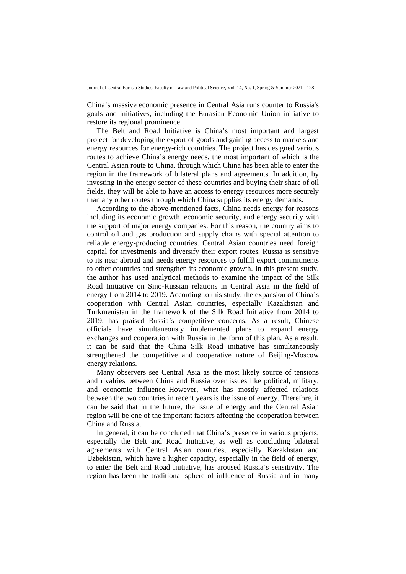China's massive economic presence in Central Asia runs counter to Russia's goals and initiatives, including the Eurasian Economic Union initiative to restore its regional prominence.

The Belt and Road Initiative is China's most important and largest project for developing the export of goods and gaining access to markets and energy resources for energy-rich countries. The project has designed various routes to achieve China's energy needs, the most important of which is the Central Asian route to China, through which China has been able to enter the region in the framework of bilateral plans and agreements. In addition, by investing in the energy sector of these countries and buying their share of oil fields, they will be able to have an access to energy resources more securely than any other routes through which China supplies its energy demands.

According to the above-mentioned facts, China needs energy for reasons including its economic growth, economic security, and energy security with the support of major energy companies. For this reason, the country aims to control oil and gas production and supply chains with special attention to reliable energy-producing countries. Central Asian countries need foreign capital for investments and diversify their export routes. Russia is sensitive to its near abroad and needs energy resources to fulfill export commitments to other countries and strengthen its economic growth. In this present study, the author has used analytical methods to examine the impact of the Silk Road Initiative on Sino-Russian relations in Central Asia in the field of energy from 2014 to 2019. According to this study, the expansion of China's cooperation with Central Asian countries, especially Kazakhstan and Turkmenistan in the framework of the Silk Road Initiative from 2014 to 2019, has praised Russia's competitive concerns. As a result, Chinese officials have simultaneously implemented plans to expand energy exchanges and cooperation with Russia in the form of this plan. As a result, it can be said that the China Silk Road initiative has simultaneously strengthened the competitive and cooperative nature of Beijing-Moscow energy relations.

Many observers see Central Asia as the most likely source of tensions and rivalries between China and Russia over issues like political, military, and economic influence. However, what has mostly affected relations between the two countries in recent years is the issue of energy. Therefore, it can be said that in the future, the issue of energy and the Central Asian region will be one of the important factors affecting the cooperation between China and Russia.

In general, it can be concluded that China's presence in various projects, especially the Belt and Road Initiative, as well as concluding bilateral agreements with Central Asian countries, especially Kazakhstan and Uzbekistan, which have a higher capacity, especially in the field of energy, to enter the Belt and Road Initiative, has aroused Russia's sensitivity. The region has been the traditional sphere of influence of Russia and in many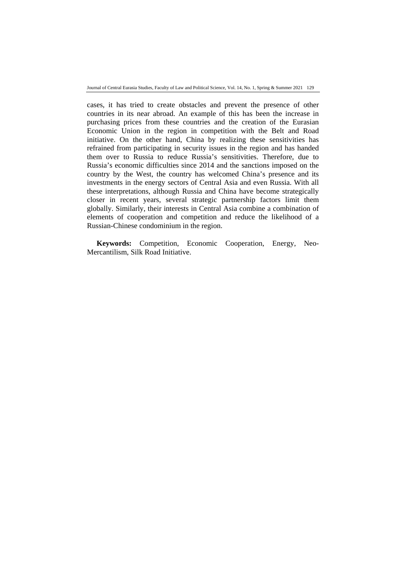Journal of Central Eurasia Studies, Faculty of Law and Political Science, Vol. 14, No. 1, Spring & Summer 2021 129

cases, it has tried to create obstacles and prevent the presence of other countries in its near abroad. An example of this has been the increase in purchasing prices from these countries and the creation of the Eurasian Economic Union in the region in competition with the Belt and Road initiative. On the other hand, China by realizing these sensitivities has refrained from participating in security issues in the region and has handed them over to Russia to reduce Russia's sensitivities. Therefore, due to Russia's economic difficulties since 2014 and the sanctions imposed on the country by the West, the country has welcomed China's presence and its investments in the energy sectors of Central Asia and even Russia. With all these interpretations, although Russia and China have become strategically closer in recent years, several strategic partnership factors limit them globally. Similarly, their interests in Central Asia combine a combination of elements of cooperation and competition and reduce the likelihood of a Russian-Chinese condominium in the region.

**Keywords:** Competition, Economic Cooperation, Energy, Neo-Mercantilism, Silk Road Initiative.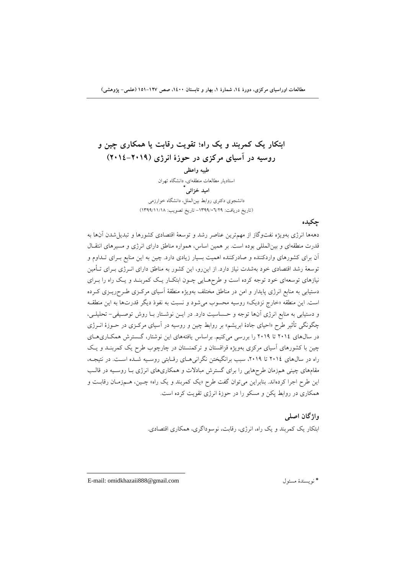**ابتكار يك كمربند و يك راه؛ تقويت رقابت يا همكاري چين و روسيه در آسياي مركزي در حوزة انرژي (2014-2019) طيبه واعظي**  استاديار مطالعات منطقهاي، دانشگاه تهران  **\* اميد خزائي** دانشجوي دكتري روابط بينالملل، دانشگاه خوارزمي (تاريخ دريافت: -1399/06/29 تاريخ تصويب: 1399/11/18)

دههها انرژي بهويژه نفتوگاز از مهمترين عناصر رشد و توسعة اقتصادي كشورها و تبديلشدن آنها به قدرت منطقهاي و بينالمللي بوده است. بر همين اساس، همواره مناطق داراي انرژي و مسيرهاي انتقـال آن براي كشورهاي واردكننده و صادركننده اهميت بسيار زيادي دارد. چين به اين منابع بـراي تـداوم و توسعة رشد اقتصادي خود بهشدت نياز دارد. از اينرو، اين كشور به مناطق داراي انـرژي بـراي تـأمين نيازهاي توسعهاي خود توجه كرده است و طرحهـايي چـون ابتكـار يـك كمربنـد و يـك راه را بـراي دستيابي به منابع انرژي پايدار و امن در مناطق مختلف بهويژه منطقة آسياي مركـزي طـرحريـزي كـرده است. اين منطقه «خارج نزديك» روسيه محسوب ميشود و نسبت به نفوذ ديگر قدرتها به اين منطقـه و دستيابي به منابع انرژي آنها توجه و حـساسيت دارد. در ايـن نوشـتار بـا روش توصـيفي- تحليلـي، چگونگي تأثير طرح «احياي جادة ابريشم» بر روابط چين و روسيه در آسياي مركـزي در حـوزة انـرژي در سالهاي 2014 تا 2019 را بررسي ميكنيم. براساس يافتههاي اين نوشتار، گـسترش همكـاريهـاي چين با كشورهاي آسياي مركزي بهويژه قزاقستان و تركمنستان در چارچوب طرح يك كمربنـد و يـك راه در سال هاي ٢٠١٤ تا ٢٠١٩، سبب برانگيختن نگراني هـاي رقـابتي روسـيه شـده اسـت. در نتيجـه، مقامهاي چيني همزمان طرحهايي را براي گسترش مبادلات و همكاريهاي انرژي بـا روسـيه در قالـب اين طرح اجرا كردهاند. بنابراين ميتوان گفت طرح «يك كمربند و يك راه» چـين، هـمزمـان رقابـت و همكاري در روابط پكن و مسكو را در حوزة انرژي تقويت كرده است.

> **واژگان اصلي**  ابتكار يك كمربند و يك راه، انرژي، رقابت، نوسوداگري، همكاري اقتصادي.

 E-mail: omidkhazaii888@gmail.com مسئول نويسندة\*

**چكيده**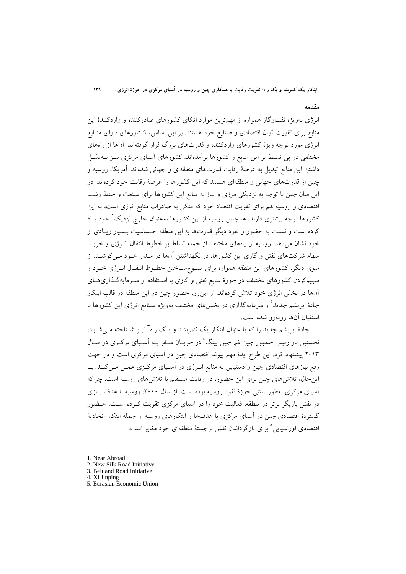#### **مقدمه**

انرژي بهويژه نفتوگاز همواره از مهمترين موارد اتكاي كشورهاي صادركننده و واردكنندة اين منابع براي تقويت توان اقتصادي و صنايع خود هستند. بر اين اساس، كـشورهاي داراي منـابع انرژي مورد توجه ويژة كشورهاي واردكننده و قدرتهاي بزرگ قرار گرفتهاند. آنها از راههاي مختلفي در پي تسلط بر اين منابع و كشورها برآمدهاند. كشورهاي آسياي مركزي نيـز بـهدليـل داشتن اين منابع تبديل به عرصة رقابت قدرتهاي منطقهاي و جهاني شدهاند. آمريكا، روسيه و چين از قدرتهاي جهاني و منطقهاي هستند كه اين كشورها را عرصة رقابت خود كردهاند. در اين ميان چين با توجه به نزديكي مرزي و نياز به منابع اين كشورها براي صنعت و حفظ رشـد اقتصادي و روسيه هم براي تقويت اقتصاد خود كه متكي به صادرات منابع انرژي است، به اين كشورها توجه بيشتري دارند. همچنين روسيه از اين كشورها بهعنوان خارج نزديك ٰ خود يـاد كرده است و نسبت به حضور و نفود ديگر قدرتها به اين منطقه حـساسيت بـسيار زيـادي از خود نشان ميدهد. روسيه از راههاي مختلف از جمله تسلط بر خطوط انتقال انـرژي و خريـد سهام شركتهاي نفتي و گازي اين كشورها، در نگهداشتن آنها در مـدار خـود مـيكوشـد. از سوي ديگر، كشورهاي اين منطقه همواره براي متنـوعسـاختن خطـوط انتقـال انـرژي خـود و سهيمكردن كشورهاي مختلف در حوزة منابع نفتي و گازي با اسـتفاده از سـرمايهگـذاريهـاي آنها در بخش انرژي خود تلاش كردهاند. از اينرو، حضور چين در اين منطقه در قالب ابتكار جادهٔ ابریشم جدید<sup>۲</sup> و سرمایهگذاری در بخشهای مختلف بهویژه صنایع انرژی این کشورها با استقبال آنها روبهرو شده است.

جادهٔ ابريشم جديد را كه با عنوان ابتكار يك كمربنـد و يـك راه<sup>7</sup>نيـز شــناخته مـي شــود، نخستين بار رئيس جمهور چين شي جين پينگ<sup>1</sup> در جريـان سـفر بـه آسـياي مركـزي در سـال 2013 پيشنهاد كرد. اين طرح ايدة مهم پيوند اقتصادي چين در آسياي مركزي است و در جهت رفع نيازهاي اقتصادي چين و دستيابي به منابع انـرژي در آسـياي مركـزي عمـل مـيكنـد. بـا اينحال، تلاشهاي چين براي اين حضور، در رقابت مستقيم با تلاشهاي روسيه است، چراكه آسياي مركزي بهطور سنتي حوزة نفود روسيه بوده است. از سال ،2000 روسيه با هدف بـازي در نقش بازيگر برتر در منطقه، فعاليت خود را در آسياي مركزي تقويت كـرده اسـت. حـضور گستردة اقتصادي چين در آسياي مركزي با هدفها و ابتكارهاي روسيه از جمله ابتكار اتحادية اقتصادي اوراسيايي <sup>0</sup> براي بازگرداندن نقش برجستهٔ منطقهاي خود مغاير است.

- 1. Near Abroad
- 2. New Silk Road Initiative

3. Belt and Road Initiative 4. Xi Jinping

5. Eurasian Economic Union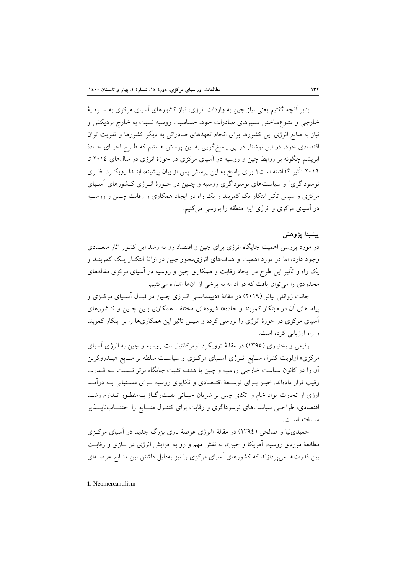بنابر آنچه گفتيم يعني نياز چين به واردات انرژي، نياز كشورهاي آسياي مركزي به سـرماية خارجي و متنوعساختن مسيرهاي صادرات خود، حساسيت روسيه نسبت به خارج نزديكش و نياز به منابع انرژي اين كشورها براي انجام تعهدهاي صادراتي به ديگر كشورها و تقويت توان اقتصادي خود، در اين نوشتار در پي پاسخگويي به اين پرسش هستيم كه طـرح احيـاي جـادة ابريشم چگونه بر روابط چين و روسيه در آسياي مركزي در حوزة انرژي در سالهاي 2014 تا 2019 تأثير گذاشته است؟ براي پاسخ به اين پرسش پس از بيان پيشينه، ابتـدا رويكـرد نظـري نوسوداگري<sup>٬</sup> و سياستهاي نوسوداگري روسيه و چـين در حـوزهٔ انـرژي كـشورهاي آسـياي مركزي و سپس تأثير ابتكار يك كمربند و يك راه در ايجاد همكاري و رقابت چـين و روسـيه در آسياي مركزي و انرژي اين منطقه را بررسي ميكنيم.

## **پيشينة پژوهش**

در مورد بررسي اهميت جايگاه انرژي براي چين و اقتصاد رو به رشد اين كشور آثار متعـددي وجود دارد، اما در مورد اهميت و هدفهاي انرژيمحور چين در ارائة ابتكـار يـك كمربنـد و يك راه و تأثير اين طرح در ايجاد رقابت و همكاري چين و روسيه در آسياي مركزي مقالههاي محدودي را ميتوان يافت كه در ادامه به برخي از آنها اشاره ميكنيم.

جانت ژوانلي ليائو (2019) در مقالة «ديپلماسـي انـرژي چـين در قبـال آسـياي مركـزي و پيامدهاي آن در «ابتكار كمربند و جاده»» شيوههاي مختلف همكاري بـين چـين و كـشورهاي آسياي مركزي در حوزة انرژي را بررسي كرده و سپس تاثير اين همكاريها را بر ابتكار كمربند و راه ارزيابي كرده است.

رفيعي و بختياري (1395) در مقالة «رويكرد نومركانتيليست روسيه و چين به انرژي آسياي مركزي» اولويت كنترل منـابع انـرژي آسـياي مركـزي و سياسـت سلطه بر منـابع هيـدروكربن آن را در كانون سياست خارجي روسيه و چين با هدف تثبيت جايگاه برتر نـسبت بـه قـدرت رقيب قرار دادهاند. خيـز بـراي توسـعة اقتـصادي و تكاپوي روسيه بـراي دسـتيابي بـه درآمـد ارزي از تجارت مواد خام و اتكاي چين بر شريان حيـاتي نفـتوگـاز بـهمنظـور تـداوم رشـد اقتصادي، طراحـي سياستهاي نوسوداگري و رقابت براي كنتـرل منــابع را اجتنــابناپــذير سـاخته اسـت.

حميدينيا و صالحي (1394) در مقالة «انرژي عرصة بازي بزرگ جديد در آسياي مركـزي مطالعة موردي روسيه، آمريكا و چين»، به نقش مهم و رو به افزايش انرژي در بـازي و رقابـت بين قدرتها ميپردازند كه كشورهاي آسياي مركزي را نيز بهدليل داشتن اين منـابع عرصـهاي

 1. Neomercantilism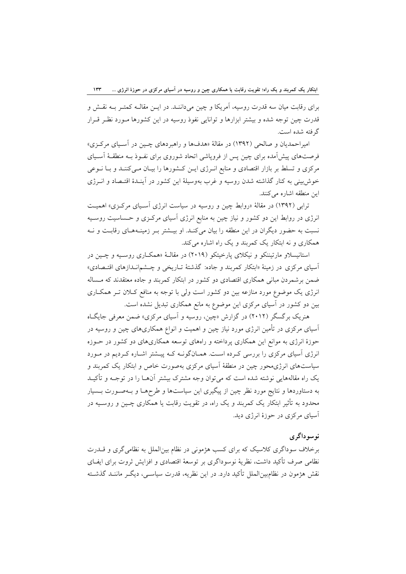براي رقابت ميان سه قدرت روسيه، آمريكا و چين ميداننـد. در ايـن مقالـه كمتـر بـه نقـش و قدرت چين توجه شده و بيشتر ابزارها و توانايي نفوذ روسيه در اين كشورها مـورد نظـر قـرار گرفته شده است.

اميراحمديان و صالحي (1392) در مقالة «هدفها و راهبردهاي چـين در آسـياي مركـزي» فرصتهاي پيشآمده براي چين پس از فروپاشي اتحاد شوروي براي نفـوذ بـه منطقـة آسـياي مركزي و تسلط بر بازار اقتصادي و منابع انـرژي ايـن كـشورها را بيـان مـيكننـد و بـا نـوعي خوشبيني به كنار گذاشته شدن روسيه و غرب بهوسيلة اين كشور در آينـدة اقتـصاد و انـرژي اين منطقه اشاره ميكنند.

ترابي (1392) در مقالة «روابط چين و روسيه در سياست انرژي آسـياي مركـزي» اهميـت انرژي در روابط اين دو كشور و نياز چين به منابع انرژي آسياي مركـزي و حـساسيت روسـيه نسبت به حضور ديگران در اين منطقه را بيان ميكنـد. او بيـشتر بـر زمينـههـاي رقابـت و نـه همكاري و نه ابتكار يك كمربند و يك راه اشاره ميكند.

استانيسلاو مارتيننكو و نيكلاي پارخيتكو (2019) در مقالـة «همكـاري روسـيه و چـين در آسياي مركزي در زمينة «ابتكار كمربند و جاده: گذشتة تـاريخي و چـشمانـدازهاي اقتـصادي» ضمن برشمردن مباني همكاري اقتصادي دو كشور در ابتكار كمربند و جاده معتقدند كه مـساله انرژي يك موضوع مورد منازعه بين دو كشور است ولي با توجه به منافع كـلان تـر همكـاري بين دو كشور در آسياي مركزي اين موضوع به مانع همكاري تبديل نشده است.

هنريك برگسگر (2012) در گزارش «چين، روسيه و آسياي مركزي» ضمن معرفي جايگـاه آسياي مركزي در تأمين انرژي مورد نياز چين و اهميت و انواع همكاريهاي چين و روسيه در حوزة انرژي به موانع اين همكاري پرداخته و راههاي توسعه همكاريهاي دو كشور در حـوزه انرژي آسياي مركزي را بررسي كـرده اسـت. همـانگونـه كـه پيـشتر اشـاره كـرديم در مـورد سياستهاي انرژيمحور چين در منطقة آسياي مركزي بهصورت خاص و ابتكار يك كمربند و يك راه مقالههايي نوشته شده است كه ميتوان وجه مشترك بيشتر آنهـا را در توجـه و تأكيـد به دستاوردها و نتايج مورد نظر چين از پيگيري اين سياستها و طرحهـا و بـهصـورت بـسيار محدود به تأثير ابتكار يك كمربند و يك راه، در تقويت رقابت يا همكاري چـين و روسـيه در آسياي مركزي در حوزة انرژي ديد.

# **نوسوداگري**

برخلاف سوداگري كلاسيك كه براي كسب هژموني در نظام بينالملل به نظاميگري و قـدرت نظامي صرف تأكيد داشت، نظرية نوسوداگري بر توسعة اقتصادي و افزايش ثروت براي ايفـاي نقش هژمون در نظامبينالملل تأكيد دارد. در اين نظريه، قدرت سياسـي، ديگـر ماننـد گذشـته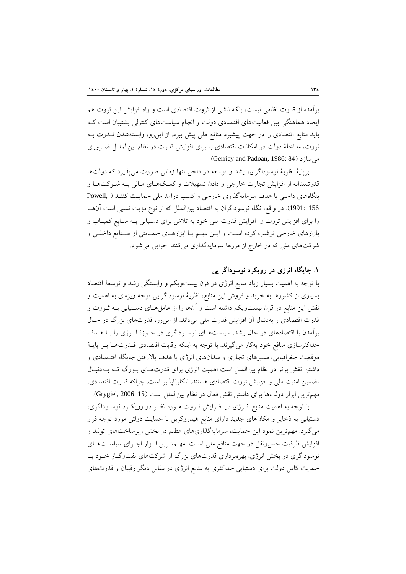برآمده از قدرت نظامي نيست، بلكه ناشي از ثروت اقتصادي است و راه افزايش اين ثروت هم ايجاد هماهنگي بين فعاليتهاي اقتصادي دولت و انجام سياستهاي كنترلي پشتيبان است كـه بايد منابع اقتصادي را در جهت پيشبرد منافع ملي پيش ببرد. از اينرو، وابستهشدن قـدرت بـه ثروت، مداخلة دولت در امكانات اقتصادي را براي افزايش قدرت در نظام بينالملـل ضـروري .(Gerriey and Padoan, 1986: 84) ميسازد

برپاية نظرية نوسوداگري، رشد و توسعه در داخل تنها زماني صورت ميپذيرد كه دولتها قدرتمندانه از افزايش تجارت خارجي و دادن تسهيلات و كمـكهـاي مـالي بـه شـركتهـا و بنگاههاي داخلي با هدف سرمايهگذاري خارجي و كسب درآمد ملي حمايـت كننـد ( ,Powell 156 1991:). در واقع، نگاه نوسوداگران به اقتصاد بينالملل كه از نوع مزيت نسبي است آنهـا را براي افزايش ثروت و افزايش قدرت ملي خود به تلاش براي دستيابي بـه منـابع كميـاب و بازارهاي خارجي ترغيب كرده اسـت و ايـن مهـم بـا ابزارهـاي حمـايتي از صـنايع داخلـي و شركتهاي ملي كه در خارج از مرزها سرمايهگذاري ميكنند اجرايي ميشود.

## **.1 جايگاه انرژي در رويكرد نوسوداگرايي**

با توجه به اهميت بسيار زياد منابع انرژي در قرن بيستويكم و وابستگي رشد و توسعة اقتصاد بسياري از كشورها به خريد و فروش اين منابع، نظرية نوسوداگرايي توجه ويژهاي به اهميت و نقش اين منابع در قرن بيستويكم داشته است و آنها را از عاملهـاي دسـتيابي بـه ثـروت و قدرت اقتصادي و بهدنبال آن افزايش قدرت ملي ميداند. از اينرو، قدرتهاي بزرگ در حـال برآمدن با اقتصادهاي در حال رشد، سياستهـاي نوسـوداگري در حـوزة انـرژي را بـا هـدف حداكثرسازي منافع خود بهكار ميگيرند. با توجه به اينكه رقابت اقتصادي قـدرتهـا بـر پايـة موقعيت جغرافيايي، مسيرهاي تجاري و ميدانهاي انرژي با هدف بالارفتن جايگاه اقتـصادي و داشتن نقش برتر در نظام بينالملل است اهميت انرژي براي قدرتهـاي بـزرگ كـه بـهدنبـال تضمين امنيت ملي و افزايش ثروت اقتصادي هستند، انكارناپذير است. چراكه قدرت اقتصادي، مهمترين ابزار دولتها براي داشتن نقش فعال در نظام بينالملل است (15 2006: ,Grygiel(.

با توجه به اهميت منابع انـرژي در افـزايش ثـروت مـورد نظـر در رويكـرد نوسـوداگري، دستيابي به ذخاير و مكانهاي جديد داراي منابع هيدروكربن با حمايت دولتي مورد توجه قرار ميگيرد. مهمترين نمود اين حمايت، سرمايهگذاريهاي عظيم در بخش زيرساختهاي توليد و افزايش ظرفيت حملونقل در جهت منافع ملي اسـت. مهـمتـرين ابـزار اجـراي سياسـتهـاي نوسوداگري در بخش انرژي، بهرهبرداري قدرتهاي بزرگ از شركتهاي نفتوگـاز خـود بـا حمايت كامل دولت براي دستيابي حداكثري به منابع انرژي در مقابل ديگر رقيبان و قدرتهاي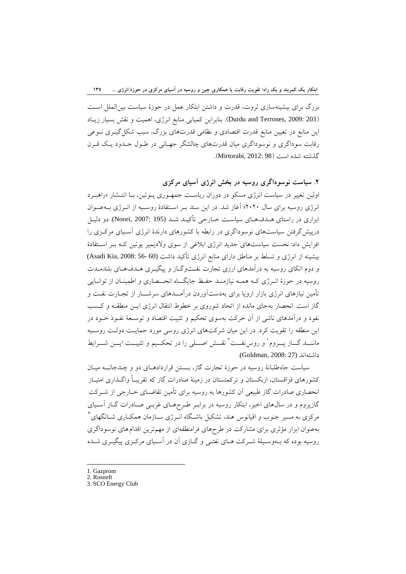بزرگ براي بيشينهسازي ثروت، قدرت و داشتن ابتكار عمل در حوزة سياست بينالملل اسـت (203 :Durdu and Terrones, 2009). بنابراين كميابي منابع انرژي، اهميت و نقش بسيار زيـاد اين منابع در تعيين منابع قدرت اقتصادي و نظامي قدرتهاي بزرگ، سبب شكلگيـري نـوعي رقابت سوداگري و نوسوداگري ميان قدرتهاي چالشگر جهـاني در طـول حـدود يـك قـرن گذشته شده است (98 2012: ,Mirtorabi(.

**.2 سياست نوسوداگري روسيه در بخش انرژي آسياي مركزي**  اولين تغيير در سياست انرژي مسكو در دوران رياسـت جمهـوري پـوتين، بـا انتـشار «راهبـرد انرژي روسيه براي سال 2020» آغاز شد. در اين سند بـر اسـتفادة روسـيه از انـرژي بـهعنـوان ابزاري در راستاي هـدفهـاي سياسـت خـارجي تأكيـد شـد (195 2007: ,Noori(. دو دليـل درپيشگرفتن سياستهاي نوسوداگري در رابطه با كشورهاي دارندة انرژي آسـياي مركـزي را افزايش داد: نخست سياستهاي جديد انرژي ابلاغي از سوي ولاديمير پوتين كـه بـر اسـتفادة بيشينه از انرژي و تسلط بر مناطق داراي منابع انرژي تأكيد داشت (60 -56 Asadi Kia, 2008: 56) و دوم اتكاي روسيه به درآمدهاي ارزي تجارت نفـتوگـاز و پيگيـري هـدفهـاي بلندمـدت روسيه در حوزة انـرژي كـه همـه نيازمنـد حفـظ جايگــاه انحــصاري و اطمينـان از توانـايي تأمين نيازهاي انرژي بازار اروپا براي بهدستآوردن درآمــدهاي سرشــار از تجـارت نفـت و گاز است. انحصار بهجاي مانده از اتحاد شوروي بر خطوط انتقال انرژي ايـن منطقـه و كـسب نفود و درآمدهاي ناشي از آن حركت بهسوي تحكيم و تثبيت اقتصاد و توسـعة نفـوذ خـود در اين منطقه را تقويت كرد. در اين ميان شركتهاي انرژي روسي مورد حمايـت دولـت روسـيه ماننـــد گـــاز پـــروم` و روسiنفـــت `نقـــش اصـــلي را در تحكــيم و تثبيـــت ايـــن شــــرايط داشتهاند (27 2008: ,Goldman(.

سياست جاهطلبانة روسيه در حوزة تجارت گاز، بـستن قراردادهـاي دو و چندجانبـه ميـان كشورهاي قزاقستان، ازبكستان و تركمنستان در زمينة صادرات گاز كه تقريبـاً واگـذاري امتيـاز انحصاري صادرات گاز طبيعي آن كشورها به روسيه براي تأمين تقاضـاي خـارجي از شـركت گازپروم و در سالهاي اخير، ابتكار روسيه در برابـر طـرحهـاي غربـي صـادرات گـاز آسـياي  $^{\rm v}$ مركزي به مسير جنوب و اقيانوس هند، تشكيل باشـگاه انــرژي ســازمان همكــاري شــانگهاي بهعنوان ابزار مؤثري براي مشاركت در طرحهاي فرامنطقهاي از مهمترين اقدامهاي نوسوداگري روسيه بوده كه بـهوسـيلة شـركت هـاي نفتـي و گـازي آن در آسـياي مركـزي پيگيـري شـده

- 1. Gazprom
- 2. Rosneft
- 3. SCO Energy Club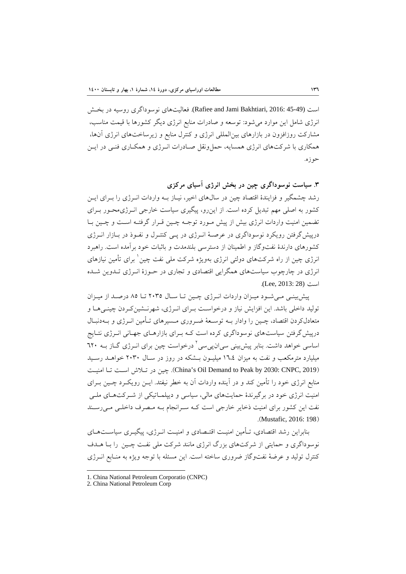است (45-49 2016: ,Bakhtiari Jami and Rafiee(. فعاليتهاي نوسوداگري روسيه در بخـش انرژي شامل اين موارد ميشود: توسعه و صادرات منابع انرژي ديگر كشورها با قيمت مناسب، مشاركت روزافزون در بازارهاي بينالمللي انرژي و كنترل منابع و زيرساختهاي انرژي آنها، همكاري با شركتهاي انرژي همسايه، حملونقل صـادرات انـرژي و همكـاري فنـي در ايـن حوزه.

**.3 سياست نوسوداگري چين در بخش انرژي آسياي مركزي**  رشد چشمگير و فزايندة اقتصاد چين در سالهاي اخير، نيـاز بـه واردات انـرژي را بـراي ايـن كشور به اصلي مهم تبديل كرده است. از اينرو، پيگيري سياست خارجي انـرژيمحـور بـراي تضمين امنيت واردات انرژي بيش از پيش مـورد توجـه چـين قـرار گرفتـه اسـت و چـين بـا درپيشگرفتن رويكرد نوسوداگري در عرصـة انـرژي در پـي كنتـرل و نفـوذ در بـازار انـرژي كشورهاي دارندة نفتوگاز و اطمينان از دسترسي بلندمدت و باثبات خود برآمده است. راهبرد انرژي چين از راه شركتهاي دولتي انرژي بهويژه شركت ملي نفت چين ٰ براي تأمين نيازهاي انرژي در چارچوب سياستهاي همگرايي اقتصادي و تجاري در حـوزة انـرژي تـدوين شـده است (28 2013: ,Lee(.

پيشبينـي مـيشـود ميـزان واردات انـرژي چـين تـا سـال 2035 تـا 85 درصـد از ميـزان توليد داخلي باشد. اين افزايش نياز و درخواسـت بـراي انـرژي، شهرنـشينكـردن چينـيهـا و متعادلكردن اقتصاد، چـين را وادار بـه توسـعة ضـروري مـسيرهاي تـأمين انـرژي و بـهدنبـال درپيشگرفتن سياستهاي نوسوداگري كرده است كـه بـراي بازارهـاي جهـاني انـرژي نتـايج اساسي خواهد داشت. بنابر پيش بيني سيان پي سي<sup>٢</sup> درخواست چين براي انــرژي گــاز بــه ٦٢٠ ميليارد مترمكعب و نفت به ميزان 16،4 ميليـون بـشكه در روز در سـال 2030 خواهـد رسـيد امنيـت تـا اسـت تـلاش در چين .)China's Oil Demand to Peak by 2030: CNPC, 2019) منابع انرژي خود را تأمين كند و در آينده واردات آن به خطر نيفتد. ايـن رويكـرد چـين بـراي امنيت انرژي خود در برگيرندة حمايتهاي مالي، سياسي و ديپلمـاتيكي از شـركتهـاي ملـي نفت اين كشور براي امنيت ذخاير خارجي است كـه سـرانجام بـه مـصرف داخلـي مـيرسـند .(Mustafic, 2016: 198)

بنابراين رشد اقتصادي، تـأمين امنيـت اقتـصادي و امنيـت انـرژي، پيگيـري سياسـتهـاي نوسوداگري و حمايتي از شركتهاي بزرگ انرژي مانند شركت ملي نفـت چـين را بـا هـدف كنترل توليد و عرضة نفتوگاز ضروري ساخته است. اين مسئله با توجه ويژه به منـابع انـرژي

<sup>1.</sup> China National Petroleum Corporatio (CNPC)

<sup>2.</sup> China National Petroleum Corp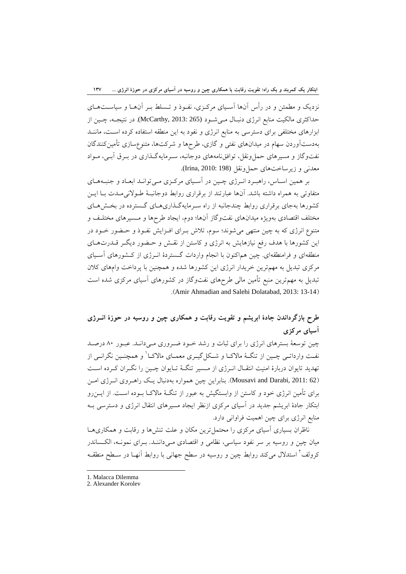نزديك و مطمئن و در رأس آنها آسـياي مركـزي، نفـوذ و تـسلط بـر آنهـا و سياسـتهـاي حداكثري مالكيت منابع انرژي دنبـال مـيشـود (265 2013: ,McCarthy(. در نتيجـه، چـين از ابزارهاي مختلفي براي دسترسي به منابع انرژي و نفود به اين منطقه استفاده كرده اسـت، ماننـد بهدستآوردن سهام در ميدانهاي نفتي و گازي، طرحها و شركتها، متنوعسازي تأمينكنندگان نفتوگاز و مسيرهاي حملونقل، توافقنامههاي دوجانبه، سـرمايهگـذاري در بـرق آبـي، مـواد معدني و زيرساختهاي حملونقل (198 2010: ,Irina(.

بر همين اسـاس، راهبـرد انـرژي چـين در آسـياي مركـزي مـيتوانـد ابعـاد و جنبـههـاي متفاوتي به همراه داشته باشد. آنها عبارتند از برقراري روابط دوجانبـة طـولانيمـدت بـا ايـن كشورها بهجاي برقراري روابط چندجانبه از راه سـرمايهگـذاريهـاي گـسترده در بخـشهـاي مختلف اقتصادي بهويژه ميدانهاي نفتوگاز آنها؛ دوم، ايجاد طرحها و مـسيرهاي مختلـف و متنوع انرژي كه به چين منتهي ميشوند؛ سوم، تلاش بـراي افـزايش نفـوذ و حـضور خـود در اين كشورها با هدف رفع نيازهايش به انرژي و كاستن از نقـش و حـضور ديگـر قـدرتهـاي منطقهاي و فرامنطقهاي. چين هماكنون با انجام واردات گـستردة انـرژي از كـشورهاي آسـياي مركزي تبديل به مهمترين خريدار انرژي اين كشورها شده و همچنين با پرداخت وامهاي كلان تبديل به مهمترين منبع تأمين مالي طرحهاي نفتوگاز در كشورهاي آسياي مركزي شده است .(Amir Ahmadian and Salehi Dolatabad, 2013: 13-14)

# **طرح بازگرداندن جادة ابريشم و تقويت رقابت و همكاري چين و روسيه در حوزة انـرژي آسياي مركزي**

چين توسعة بسترهاي انرژي را براي ثبات و رشد خـود ضـروري مـيدانـد. عبـور 80 درصـد نفـت وارداتــي چــين از تنگــهٔ مالاكــا و شــكل2يــري معمــاي مالاكــا و همچنــين نگرانــي از تهديد تايوان دربارة امنيت انتقـال انـرژي از مـسير تنگـة تـايوان چـين را نگـران كـرده اسـت (62 Mousavi and Darabi, 2011: بنابراين چين همواره بهدنبال يـك راهـروي انـرژي امـن براي تأمين انرژي خود و كاستن از وابستگيش به عبور از تنگـة مالاكـا بـوده اسـت. از ايـنرو ابتكار جادة ابريشم جديد در آسياي مركزي ازنظر ايجاد مسيرهاي انتقال انرژي و دسترسي بـه منابع انرژي براي چين اهميت فراواني دارد.

ناظران بسياري آسياي مركزي را محتملترين مكان و علت تنشها و رقابت و همكاريهـا ميان چين و روسيه بر سر نفود سياسي، نظامي و اقتصادي مـيداننـد. بـراي نمونـه، الكـساندر کرولف<sup>۲</sup> استدلال میکند روابط چین و روسیه در سطح جهانی با روابط آنهـا در سـطح منطقـه

<sup>1.</sup> Malacca Dilemma

<sup>2.</sup> Alexander Korolev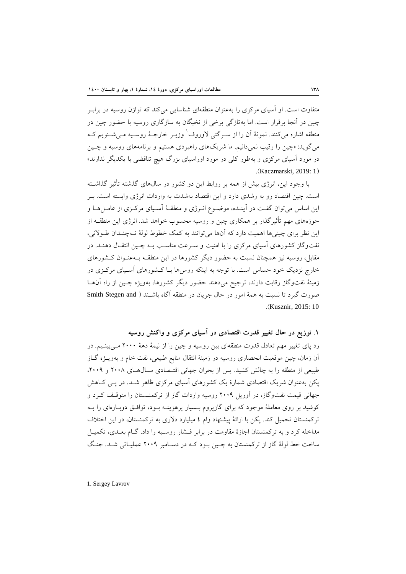متفاوت است. او آسياي مركزي را بهعنوان منطقهاي شناسايي ميكند كه توازن روسيه در برابـر چين در آنجا برقرار است. اما بهتازگي برخي از نخبگان به سازگاري روسيه با حضور چين در منطقه اشاره مي كنند. نمونهٔ آن را از سـرگئي لاوروف ٰ وزيـر خارجـهٔ روسـيه مـي شـنويم كـه مي گويد: «چين را رقيب نمي دانيم. ما شريکهاي راهبردي هستيم و برنامههاي روسيه و چـين در مورد آسياي مركزي و بهطور كلي در مورد اوراسياي بزرگ هيچ تناقضي با يكديگر ندارند» .(Kaczmarski, 2019: 1)

با وجود اين، انرژي بيش از همه بر روابط اين دو كشور در سالهاي گذشته تأثير گذاشـته است. چين اقتصاد رو به رشدي دارد و اين اقتصاد بهشدت به واردات انرژي وابسته است. بـر اين اساس ميتوان گفـت در آينـده، موضـوع انـرژي و منطقـة آسـياي مركـزي از عامـلهـا و حوزههاي مهم تأثيرگذار بر همكاري چين و روسيه محسوب خواهد شد. انرژي اين منطقـه از اين نظر براي چينيها اهميت دارد كه آنها ميتوانند به كمك خطوط لولة نـهچنـدان طـولاني، نفتوگاز كشورهاي آسياي مركزي را با امنيت و سـرعت مناسـب بـه چـين انتقـال دهنـد. در مقابل، روسيه نيز همچنان نسبت به حضور ديگر كشورها در اين منطقـه بـهعنـوان كـشورهاي خارج نزديك خود حساس است. با توجه به اينكه روسها بـا كـشورهاي آسـياي مركـزي در زمينة نفتوگاز رقابت دارند، ترجيح ميدهند حضور ديگر كشورها، بهويژه چـين از راه آنهـا صورت گيرد تا نسبت به همة امور در حال جريان در منطقه آگاه باشـند ( and Stegen Smith .(Kusznir, 2015: 10

**.1 توزيع در حال تغيير قدرت اقتصادي در آسياي مركزي و واكنش روسيه** 

رد پاي تغيير مهم تعادل قدرت منطقهاي بين روسيه و چين را از نيمة دهة 2000 مـيبينـيم. در آن زمان، چين موقعيت انحصاري روسيه در زمينة انتقال منابع طبيعي، نفت خام و بهويـژه گـاز طبيعي از منطقه را به چالش كشيد. پس از بحران جهاني اقتـصادي سـالهـاي 2008 و ،2009 پكن بهعنوان شريك اقتصادي شمارة يك كشورهاي آسياي مركزي ظاهر شـد. در پـي كـاهش جهاني قيمت نفتوگاز، در آوريل 2009 روسيه واردات گاز از تركمنـستان را متوقـف كـرد و كوشيد بر روي معاملة موجود كه براي گازپروم بـسيار پرهزينـه بـود، توافـق دوبـارهاي را بـه تركمنستان تحميل كند. پكن با ارائة پيشنهاد وام 4 ميليارد دلاري به تركمنستان، در اين اختلاف مداخله كرد و به تركمنستان اجازة مقاومت در برابر فـشار روسـيه را داد. گـام بعـدي، تكميـل ساخت خط لولة گاز از تركمنستان به چـين بـود كـه در دسـامبر 2009 عمليـاتي شـد. جنـگ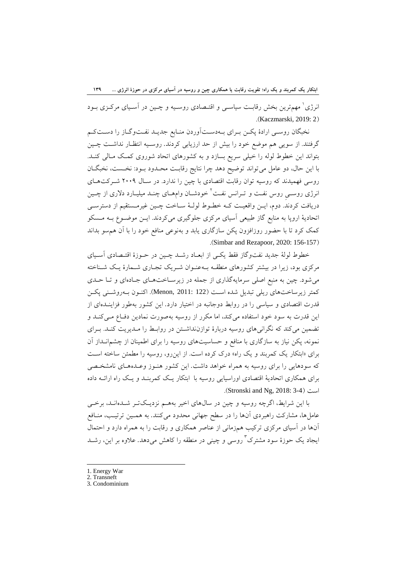ابتکار یک کمربند و یک راه؛ تقویت رقابت یا همکاری چین و روسیه در آسیای مرکزی در حوزهٔ انرژی … ۱۳۹

انرژي<sup>\</sup> مهمترين بخش رقابـت سياسـي و اقتـصادي روسـيه و چـين در آسـياي مركـزي بـود .(Kaczmarski, 2019: 2)

نخبگان روسـي ارادة پكـن بـراي بـهدسـتآوردن منـابع جديـد نفـتوگـاز را دسـتكـم گرفتند. از سويي هم موضع خود را بيش از حد ارزيابي كردند. روسـيه انتظـار نداشـت چـين بتواند اين خطوط لوله را خيلي سريع بسازد و به كشورهاي اتحاد شوروي كمـك مـالي كنـد. با اين حال، دو عامل ميتواند توضيح دهد چرا نتايج رقابـت محـدود بـود: نخـست، نخبگـان روسي فهميدند كه روسيه توان رقابت اقتصادي با چين را ندارد. در سـال 2009 شـركتهـاي انرژي روسـي روس نفـت و تــرانس نفـت<sup>٢</sup> خودشــان وامهــاي چنــد ميليــارد دلاري از چــين دريافت كردند. دوم، ايـن واقعيـت كـه خطـوط لولـة سـاخت چـين غيرمـستقيم از دسترسـي اتحاديهٔ اروپا به منابع گاز طبيعي آسياي مركزي جلوگيري ميكردند. ايـن موضـوع بـه مـسكو كمك كرد تا با حضور روزافزون پكن سازگاري يابد و بهنوعي منافع خود را با آن همسو بداند .(Simbar and Rezapoor, 2020: 156-157)

خطوط لولة جديد نفتوگاز فقط يكـي از ابعـاد رشـد چـين در حـوزة اقتـصادي آسـياي مركزي بود، زيرا در بيشتر كشورهاي منطقـه بـهعنـوان شـريك تجـاري شـمارة يـك شـناخته ميشود. چين به منبع اصلي سرمايهگذاري از جمله در زيرسـاختهـاي جـادهاي و تـا حـدي كمتر زيرساختهاي ريلي تبديل شده اسـت (122 2011: ,Menon(. اكنـون بـهروشـني پكـن قدرت اقتصادي و سياسي را در روابط دوجانبه در اختيار دارد. اين كشور بهطور فزاينـدهاي از اين قدرت به سود خود استفاده ميكند، اما مكرر از روسيه بهصورت نمادين دفـاع مـيكنـد و تضمين ميكند كه نگرانيهاي روسيه دربارة توازننداشـتن در روابـط را مـديريت كنـد. بـراي نمونه، پكن نياز به سازگاري با منافع و حساسيتهاي روسيه را براي اطمينان از چشمانـداز آن براي «ابتكار يك كمربند و يك راه» درك كرده است. از اينرو، روسيه را مطمئن ساخته اسـت كه سودهايي را براي روسيه به همراه خواهد داشت. اين كشور هنـوز وعـدههـاي نامشخـصي براي همكاري اتحادية اقتصادي اوراسيايي روسيه با ابتكار يـك كمربنـد و يـك راه ارائـه داده .(Stronski and Ng, 2018: 3-4) است

با اين شرايط، اگرچه روسيه و چين در سالهاي اخير بههـم نزديـكتـر شـدهانـد، برخـي عاملها، مشاركت راهبردي آنها را در سطح جهاني محدود ميكنند. به همـين ترتيـب، منـافع آنها در آسياي مركزي تركيب همزماني از عناصر همكاري و رقابت را به همراه دارد و احتمال ايجاد يک حوزهٔ سود مشترک ٌ روسي و چيني در منطقه را کاهش ميدهد. علاوه بر اين، رشــد

- 1. Energy War
- 2. Transneft
- 3. Condominium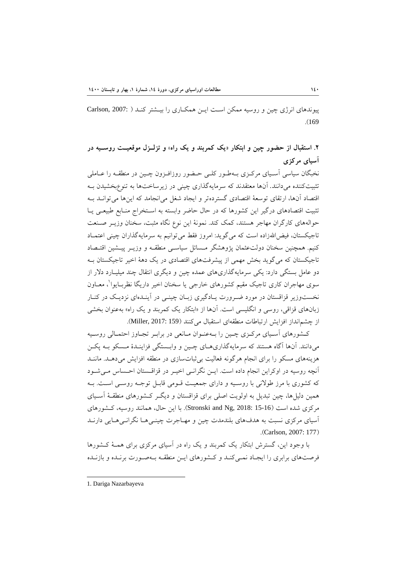پيوندهاي انرژي چين و روسيه ممكن اسـت ايـن همكـاري را بيـشتر كنـد ( 2007: ,Carlson .(169

**.2 استقبال از حضور چين و ابتكار «يك كمربند و يك راه**» **و تزلـزل موقعيـت روسـيه در آسياي مركزي** 

نخبگان سياسي آسـياي مركـزي بـهطـور كلـي حـضور روزافـزون چـين در منطقـه را عـاملي تثبيتكننده ميدانند. آنها معتقدند كه سرمايهگذاري چيني در زيرساختها به تنوعبخشيدن بـه اقتصاد آنها، ارتقاي توسعة اقتصادي گستردهتر و ايجاد شغل ميانجامد كه اينها ميتوانـد بـه تثبيت اقتصادهاي درگير اين كشورها كه در حال حاضر وابسته به اسـتخراج منـابع طبيعـي يـا حوالههاي كارگران مهاجر هستند، كمك كند. نمونة اين نوع نگاه مثبت، سخنان وزيـر صـنعت تاجيكستان، فيضااللهزاده است كه ميگويد: امروز فقط ميتوانيم به سرمايهگذاران چيني اعتمـاد كنيم. همچنين سخنان دولتعثمان پژوهشگر مـسائل سياسـي منطقـه و وزيـر پيـشين اقتـصاد تاجيكستان كه ميگويد بخش مهمي از پيشرفتهاي اقتصادي در يك دهة اخير تاجيكستان بـه دو عامل بستگي دارد: يكي سرمايهگذاريهاي عمده چين و ديگري انتقال چند ميليـارد دلار از سوي مهاجران كاري تاجيك مقيم كشورهاي خارجي يا سخنان اخير داريگا نظربـايوا<sup>\</sup>، معــاون نخستوزير قزاقستان در مورد ضـرورت يـادگيري زبـان چينـي در آينـدهاي نزديـك در كنـار زبانهاي قزاقي، روسي و انگليسي است. آنها از «ابتكار يك كمربند و يك راه» بهعنوان بخشي از چشمانداز افزايش ارتباطات منطقهاي استقبال ميكنند (159 2017: ,Miller(.

كـشورهاي آسـياي مركـزي چـين را بـهعنـوان مـانعي در برابـر تجـاوز احتمـالي روسـيه ميدانند. آنها آگاه هستند كه سرمايهگذاريهـاي چـين و وابـستگي فزاينـدة مـسكو بـه پكـن هزينههاي مسكو را براي انجام هرگونه فعاليت بيثباتسازي در منطقه افزايش ميدهـد. ماننـد آنچه روسيه در اوكراين انجام داده است. ايـن نگرانـي اخيـر در قزاقـستان احـساس مـيشـود كه كشوري با مرز طولاني با روسـيه و داراي جمعيـت قـومي قابـل توجـه روسـي اسـت. بـه همين دليلها، چين تبديل به اولويت اصلي براي قزاقستان و ديگـر كـشورهاي منطقـة آسـياي مركزي شده است (16-15 Stronski and Ng, 2018: 15). با اين حال، همانند روسيه، كـشورهاي آسياي مركزي نسبت به هدفهاي بلندمدت چين و مهـاجرت چينـيهـا نگرانـيهـايي دارنـد .(Carlson, 2007: 177)

با وجود اين، گسترش ابتكار يك كمربند و يك راه در آسياي مركزي براي همـة كـشورها فرصتهاي برابري را ايجـاد نمـيكنـد و كـشورهاي ايـن منطقـه بـهصـورت برنـده و بازنـده

1. Dariga Nazarbayeva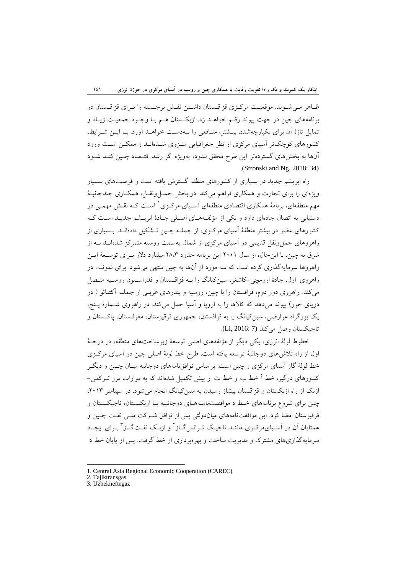ظـاهر مـيشـوند. موقعيـت مركـزي قزاقـستان داشـتن نقـش برجـسته را بـراي قزاقـستان در برنامههاي چين در جهت پيوند رقـم خواهـد زد. ازبكـستان هـم بـا وجـود جمعيـت زيـاد و تمايل تازة آن براي يكپارچهشدن بيـشتر، منـافعي را بـهدسـت خواهـد آورد. بـا ايـن شـرايط، كشورهاي كوچكتر آسياي مركزي از نظر جغرافيايي منـزوي شـدهانـد و ممكـن اسـت ورود آنها به بخشهاي گستردهتر اين طرح محقق نشود، بهويژه اگر رشد اقتـصاد چـين كنـد شـود .(Stronski and Ng, 2018: 34)

راه ابريشم جديد در بسياري از كشورهاي منطقه گسترش يافته است و فرصتهاي بـسيار ويژهاي را براي تجارت و همكاري فراهم ميكند. در بخش حمـلونقـل، همكـاري چندجانبـة مهم منطقهاي، برنامهٔ همكاري اقتصادي منطقهاي آسـياي مركـزي<sup>\</sup> اسـت كـه نقـش مهمـي در دستيابي به اتصال جادهاي دارد و يكي از مؤلفـههـاي اصـلي جـادة ابريـشم جديـد اسـت كـه كشورهاي عضو در بيشتر منطقة آسياي مركـزي، از جملـه چـين تـشكيل دادهانـد. بـسياري از راهروهاي حملونقل قديمي در آسياي مركزي از شمال بهسمت روسيه متمركز شدهانـد نـه از شرق به چين. با اينحال، از سال 2001 اين برنامه حدود 28،3 ميليارد دلار بـراي توسـعة ايـن راهروها سرمايهگذاري كرده است كه سه مورد از آنها به چين منتهي ميشود. براي نمونـه، در راهروي اول، جادة ارومچي-كاشغر، سينكيانگ را بـه قزاقـستان و فدراسـيون روسـيه متـصل ميكند. راهروي دور دوم، قزاقستان را با چين، روسيه و بندرهاي غربـي از جملـه آكتـائو ( در درياي خزر) پيوند ميدهد كه كالاها را به اروپا و آسيا حمل ميكند. در راهروي شـمارة پـنج، يك بزرگراه عوارضي، سينكيانگ را به قزاقستان، جمهوري قرقيزستان، مغولـستان، پاكـستان و تاجيكستان وصل مي كند (Li, 2016: 7).

خطوط لولة انرژي، يكي ديگر از مؤلفههاي اصلي توسعة زيرساختهاي منطقه، در درجـة اول از راه تلاشهاي دوجانبة توسعه يافته است. طرح خط لولة اصلي چين در آسياي مركـزي خط لولة گاز آسياي مركزي و چين است. براساس توافقنامههاي دوجانبه ميـان چـين و ديگـر كشورهاي درگير، خط آ خط ب و خط ث از پيش تكميل شدهاند كه به موازات مرز تـركمن- ازبك از راه ازبكستان و قزاقستان پيشاز رسيدن به سينكيانگ انجام ميشود. در سپتامبر ،2013 چين براي شروع برنامههاي خـط د موافقـتنامـههـاي دوجانبـه بـا ازبكـستان، تاجيكـستان و قرقيزستان امضا كرد. اين موافقتنامههاي مياندولتي پس از توافق شـركت ملـي نفـت چـين و همتايان آن در آسـياىمركـزى ماننــد تاجيـك تــرانس $^{\rm v}$ ـاز ً و ازبـك نفــت $^{\rm v}$ ـاز ً بــراى ايجــاد سرمايهگذاريهاي مشترك و مديريت ساخت و بهرهبرداري از خط گرفت. پس از پايان خط د

<sup>1.</sup> Central Asia Regional Economic Cooperation (CAREC)

<sup>2.</sup> Tajiktransgas

<sup>3.</sup> Uzbekneftegaz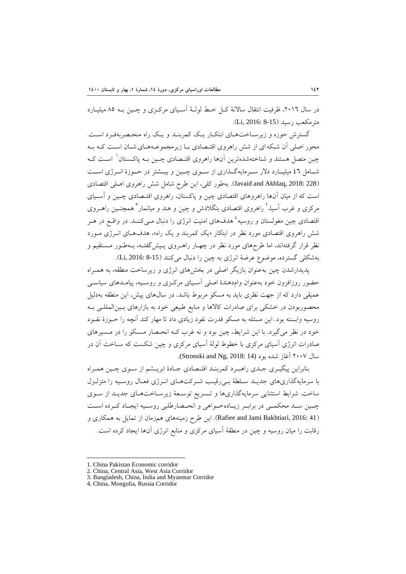در سال ۲۰۱٦، ظرفيت انتقال سالانهٔ كـل خـط لولـهٔ آسـياي مركـزي و چـين بـه ۸۵ ميليـارد مترمكعب رسيد (15-8-2016: Li, 2016).

گسترش حوزه و زيرسـاختهـاي ابتكـار يـك كمربنـد و يـك راه منحـصربهفـرد اسـت. محور اصلي آن شبكهاي از شش راهروي اقتـصادي بـا زيرمجموعـههـايشـان اسـت كـه بـه چين متصل هستند و شناختهشدهترين آنها راهروي اقتـصادي چـين بـه پاكـستان<sup>\</sup> اسـت كـه شــامل 46 ميليــارد دلار ســرمايهگــذاري از ســوي چــين و بيــشتر در حــوزة انــرژي اســت (228 2018: ,Akhlaq and Javaid(. بهطور كلي، اين طرح شامل شش راهروي اصلي اقتصادي است كه از ميان آنها راهروهاي اقتصادي چين و پاكستان، راهروي اقتـصادي چـين و آسـياي مرکزي و غرب آسيا،<sup>۲</sup> راهروي اقتصادي بنگلادش و چين و هند و ميانمار<sup>۳</sup> همچنـين راهــروي قتصادی چین مغولستان و روسیه<sup>، ع</sup> هدفهای امنیت انرژی را دنبال مـیکننـد. در واقــع در هــر شش راهروي اقتصادي مورد نظر در ابتكار «يك كمربند و يك راه»، هدفهـاي انـرژي مـورد نظر قرار گرفتهاند، اما طرحهاي مورد نظر در چهـار راهـروي پـيشگفتـه، بـهطـور مـستقيم و بهشكلي گسترده، موضوع عرضة انرژي به چين را دنبال ميكنند (8-15 2016: ,Li(.

پديدارشدن چين بهعنوان بازيگر اصلي در بخشهاي انرژي و زيرساخت منطقه، به همـراه حضور روزافزون خود بهعنوان وامدهندة اصلي آسـياي مركـزي و روسـيه، پيامـدهاي سياسـي عميقي دارد كه از جهت نظري بايد به مسكو مربوط باشد. در سالهاي پيش، اين منطقه بهدليل محصوربودن در خشكي براي صادرات كالاها و منابع طبيعي خود به بازارهاي بـينالمللـي بـه روسيه وابسته بود. اين مسئله به مسكو قدرت نفود زيادي داد تا مهار كند آنچه را حـوزة نفـود خود در نظر ميگيرد. با اين شرايط، چين بود و نه غرب كـه انحـصار مـسكو را در مـسيرهاي صادرات انرژي آسياي مركزي با خطوط لولة آسياي مركزي و چين شكست كه سـاخت آن در سال ٢٠٠٧ آغاز شده بود (Stronski and Ng, 2018: 14).

بنابراين پيگيـري جـدي راهبـرد كمربنـد اقتـصادي جـادة ابريـشم از سـوي چـين همـراه با سرمايهگذاريهاي جديـد سـلطة بـيرقيـب شـركتهـاي انـرژي فعـال روسـيه را متزلـزل ساخت. شرايط استثنايي سرمايهگذاريها و تـسريع توسـعة زيرسـاختهـاي جديـد از سـوي چــين ســد محكمــي در برابــر زيــادهخــواهي و انحــصارطلبي روســيه ايجــاد كــرده اســت (Rafiee and Jami Bakhtiari, 2016: 41). اين طرح زمينههاي همزمان از تمايل به همكاري و رقابت را ميان روسيه و چين در منطقة آسياي مركزي و منابع انرژي آنها ايجاد كرده است.

 1. China Pakistan Economic corridor

<sup>2.</sup> China, Central Asia, West Asia Corridor

<sup>3.</sup> Bangladesh, China, India and Myanmar Corridor

<sup>4.</sup> China, Mongolia, Russia Corridor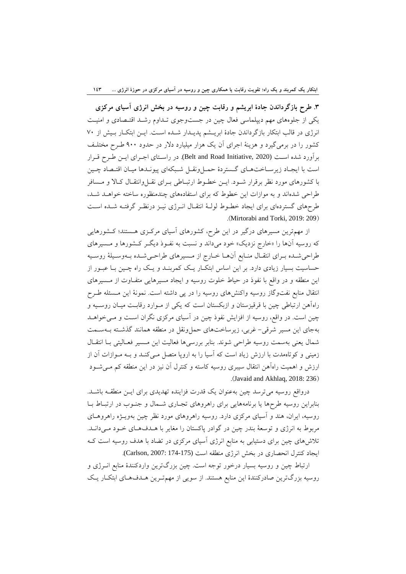**.3 طرح بازگرداندن جادة ابريشم و رقابت چين و روسيه در بخش انرژي آسياي مركزي**  يكي از جلوههاي مهم ديپلماسي فعال چين در جستوجوي تـداوم رشـد اقتـصادي و امنيـت انرژي در قالب ابتكار بازگرداندن جادة ابريـشم پديـدار شـده اسـت. ايـن ابتكـار بـيش از 70 كشور را در برميگيرد و هزينة اجراي آن يك هزار ميليارد دلار در حدود 900 طـرح مختلـف برآورد شده اسـت (2020 ,Initiative Road and Belt(. در راسـتاي اجـراي ايـن طـرح قـرار است با ايجـاد زيرسـاختهـاي گـستردة حمـلونقـل شـبكهاي پيونـدها ميـان اقتـصاد چـين با كشورهاي مورد نظر برقرار شـود. ايـن خطـوط ارتبـاطي بـراي نقـلوانتقـال كـالا و مـسافر طراحي شدهاند و به موازات اين خطوط كه براي استفادههاي چندمنظوره ساخته خواهـد شـد، طرحهاي گستردهاي براي ايجاد خطـوط لولـة انتقـال انـرژي نيـز درنظـر گرفتـه شـده اسـت .(Mirtorabi and Torki, 2019: 209)

از مهمترين مسيرهاي درگير در اين طرح، كشورهاي آسياي مركـزي هـستند؛ كـشورهايي كه روسيه آنها را «خارج نزديك» خود ميداند و نسبت به نفـوذ ديگـر كـشورها و مـسيرهاي طراحيشـده بـراي انتقـال منـابع آنهـا خـارج از مـسيرهاي طراحـيشـده بـهوسـيلة روسـيه حساسيت بسيار زيادي دارد. بر اين اساس ابتكـار يـك كمربنـد و يـك راه چـين بـا عبـور از اين منطقه و در واقع با نفوذ در حياط خلوت روسيه و ايجاد مسيرهايي متفـاوت از مـسيرهاي انتقال منابع نفتوگاز روسيه واكنشهاي روسيه را در پي داشته است. نمونة اين مـسئله طـرح راهآهن ارتباطي چين با قرقيزستان و ازبكستان است كه يكي از مـوارد رقابـت ميـان روسـيه و چين است. در واقع، روسيه از افزايش نفوذ چين در آسياي مركزي نگران اسـت و مـيخواهـد بهجاي اين مسير شرقي- غربي، زيرساختهاي حملونقل در منطقه همانند گذشـته بـهسـمت شمال يعني بهسمت روسيه طراحي شوند. بنابر بررسيها فعاليت اين مـسير فعـاليتي بـا انتقـال زميني و كوتاهمدت با ارزش زياد است كه آسيا را به اروپا متصل مـيكنـد و بـه مـوازات آن از ارزش و اهميت راهآهن انتقال سيبري روسيه كاسته و كنترل آن نيز در اين منطقه كم مـيشـود .(Javaid and Akhlaq, 2018: 236)

درواقع روسيه ميترسد چين بهعنوان يك قدرت فزاينده تهديدي براي ايـن منطقـه باشـد. بنابراين روسيه طرحها يا برنامههايي براي راهروهاي تجـاري شـمال و جنـوب در ارتبـاط بـا روسيه، ايران، هند و آسياي مركزي دارد. روسيه راهروهاي مورد نظر چين بهويـژه راهروهـاي مربوط به انرژي و توسعة بندر چين در گوادر پاكستان را مغاير با هـدفهـاي خـود مـيدانـد. تلاشهاي چين براي دستيابي به منابع انرژي آسياي مركزي در تضاد با هدف روسيه است كـه ايجاد كنترل انحصاري در بخش انرژي منطقه است (174-175 2007: ,Carlson(.

ارتباط چين و روسيه بسيار درخور توجه است. چين بزرگترين واردكنندة منابع انـرژي و روسيه بزرگترين صادركنندة اين منابع هستند. از سويي از مهمتـرين هـدفهـاي ابتكـار يـك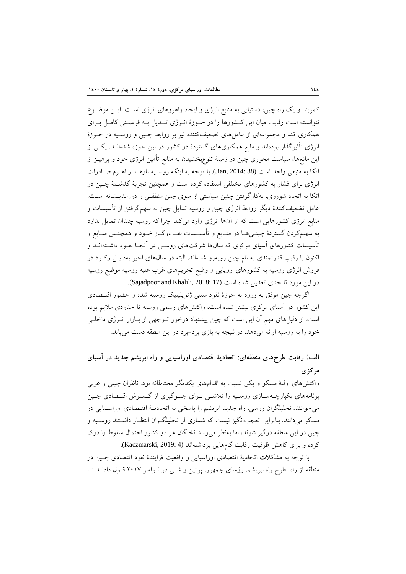كمربند و يك راه چين، دستيابي به منابع انرژي و ايجاد راهروهاي انرژي اسـت. ايـن موضـوع نتوانسته است رقابت ميان اين كـشورها را در حـوزة انـرژي تبـديل بـه فرصـتي كامـل بـراي همكاري كند و مجموعهاي از عاملهاي تضعيفكننده نيز بر روابط چـين و روسـيه در حـوزة انرژي تأثيرگذار بودهاند و مانع همكاريهاي گستردة دو كشور در اين حوزه شدهانـد. يكـي از اين مانعها، سياست محوري چين در زمينة تنوعبخشيدن به منابع تأمين انرژي خود و پرهيـز از اتكا به منبعي واحد است (38 2014: ,Jian(. با توجه به اينكه روسـيه بارهـا از اهـرم صـادرات انرژي براي فشار به كشورهاي مختلفي استفاده كرده است و همچنين تجربة گذشـتة چـين در اتكا به اتحاد شوروي، بهكارگرفتن چنين سياستي از سوي چين منطقـي و دورانديـشانه اسـت. عامل تضعيفكنندة ديگر روابط انرژي چين و روسيه تمايل چين به سهمگرفتن از تأسيسات و منابع انرژي كشورهايي است كه از آنها انرژي وارد ميكند. چرا كه روسيه چندان تمايل ندارد به سهيمكردن گستردة چينـيهـا در منـابع و تأسيـسات نفـتوگـاز خـود و همچنـين منـابع و تأسيسات كشورهاي آسياي مركزي كه سالها شركتهاي روسـي در آنجـا نفـوذ داشـتهانـد و اكنون با رقيب قدرتمندي به نام چين روبهرو شدهاند. البته در سالهاي اخير بهدليـل ركـود در فروش انرژي روسيه به كشورهاي اروپايي و وضع تحريمهاي غرب عليه روسيه موضع روسيه در اين مورد تا حدي تعديل شده است (17 :Sajadpoor and Khalili, 2018).

اگرچه چين موفق به ورود به حوزة نفوذ سنتي ژئوپليتيك روسيه شده و حضور اقتـصادي اين كشور در آسياي مركزي بيشتر شده است، واكنشهاي رسمي روسيه تا حدودي ملايم بوده است. از دليلهاي مهم آن اين است كه چين پيشنهاد درخور تـوجهي از بـازار انـرژي داخلـي خود را به روسيه ارائه ميدهد. در نتيجه به بازي برد-برد در اين منطقه دست مييابد.

**الف) رقابت طرحهاي منطقهاي: اتحادية اقتصادي اوراسيايي و راه ابريشم جديد در آسياي مركزي** 

واكنشهاي اولية مسكو و پكن نسبت به اقدامهاي يكديگر محتاطانه بود. ناظران چيني و غربي برنامههاي يكپارچـهسـازي روسـيه را تلاشـي بـراي جلـوگيري از گـسترش اقتـصادي چـين ميخوانند. تحليلگران روسي، راه جديد ابريشم را پاسخي به اتحاديـة اقتـصادي اوراسـيايي در مسكو ميدانند. بنابراين تعجبانگيز نيست كه شماري از تحليلگـران انتظـار داشـتند روسـيه و چين در اين منطقه درگير شوند، اما بهنظر ميرسد نخبگان هر دو كشور احتمال سقوط را درك كرده و براي كاهش ظرفيت رقابت گامهايي برداشتهاند (Kaczmarski, 2019: 4).

با توجه به مشكلات اتحادية اقتصادي اوراسيايي و واقعيت فزايندة نفود اقتصادي چـين در منطقه از راه طرح راه ابريشم، رؤساي جمهور، پوتين و شـي در نـوامبر 2017 قـول دادنـد تـا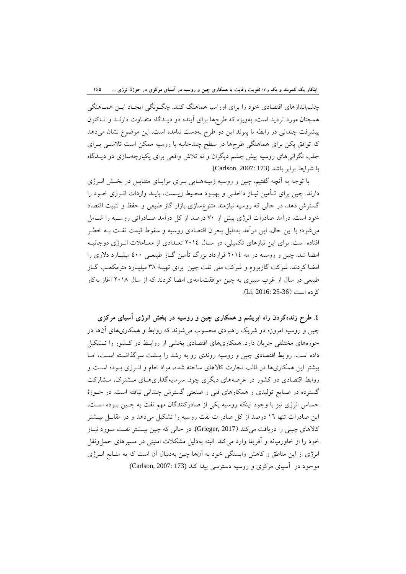چشماندازهاي اقتصادي خود را براي اوراسيا هماهنگ كنند. چگـونگي ايجـاد ايـن همـاهنگي همچنان مورد ترديد است، بهويژه كه طرحها براي آينده دو ديـدگاه متفـاوت دارنـد و تـاكنون پيشرفت چنداني در رابطه با پيوند اين دو طرح بهدست نيامده است. اين موضوع نشان ميدهد كه توافق پكن براي هماهنگي طرحها در سطح چندجانبه با روسيه ممكن است تلاشـي بـراي جلب نگرانيهاي روسيه پيش چشم ديگران و نه تلاش واقعي براي يكپارچهسازي دو ديـدگاه با شرايط برابر باشد (Carlson, 2007: 173).

با توجه به آنچه گفتيم، چين و روسيه زمينههـايي بـراي مزايـاي متقابـل در بخـش انـرژي دارند. چين براي تـأمين نيـاز داخلـي و بهبـود محـيط زيـست، بايـد واردات انـرژي خـود را گسترش دهد، در حالي كه روسيه نيازمند متنوعسازي بازار گاز طبيعي و حفظ و تثبيت اقتصاد خود است. درآمد صادرات انرژي بيش از 70 درصد از كل درآمد صـادراتي روسـيه را شـامل ميشود؛ با اين حال، اين درآمد بهدليل بحران اقتصادي روسيه و سقوط قيمت نفـت بـه خطـر افتاده است. براي اين نيازهاي تكميلي، در سـال 2014 تعـدادي از معـاملات انـرژي دوجانبـه امضا شد. چين و روسيه در مه 2014 قرارداد بزرگ تأمين گـاز طبيعـي 400 ميليـارد دلاري را امضا كردند. شركت گازپروم و شركت ملي نفت چين براي تهيـة 38 ميليـارد مترمكعـب گـاز طبيعي در سال از غرب سيبري به چين موافقتنامهاي امضا كردند كه از سال 2018 آغاز بهكار كرده است (25-36: Li, 2016: 25).

**.4 طرح زندهكردن راه ابريشم و همكاري چين و روسيه در بخش انرژي آسياي مركزي**  چين و روسيه امروزه دو شريك راهبردي محسوب ميشوند كه روابط و همكاريهاي آنها در حوزههاي مختلفي جريان دارد. همكاريهاي اقتصادي بخشي از روابـط دو كـشور را تـشكيل داده است. روابط اقتصادي چين و روسيه روندي رو به رشد را پـشت سرگذاشـته اسـت، امـا بيشتر اين همكاريها در قالب تجارت كالاهاي ساخته شده، مواد خام و انـرژي بـوده اسـت و روابط اقتصادي دو كشور در عرصههاي ديگري چون سرمايهگذاريهـاي مـشترك، مـشاركت گسترده در صنايع توليدي و همكارهاي فني و صنعتي گسترش چنداني نيافته است. در حـوزة حساس انرژي نيز با وجود اينكه روسيه يكي از صادركنندگان مهم نفت به چـين بـوده اسـت، اين صادرات تنها 16 درصد از كل صادرات نفت روسيه را تشكيل ميدهد و در مقابـل بيـشتر كالاهاي چيني را دريافت ميكند (2017 ,Grieger(. در حالي كه چين بيـشتر نفـت مـورد نيـاز خود را از خاورميانه و آفريقا وارد ميكند. البته بهدليل مشكلات امنيتي در مسيرهاي حملونقل انرژي از اين مناطق و كاهش وابستگي خود به آنها چين بهدنبال آن است كه به منـابع انـرژي موجود در آسياي مركزي و روسيه دسترسي پيدا كند (173 2007: ,Carlson(.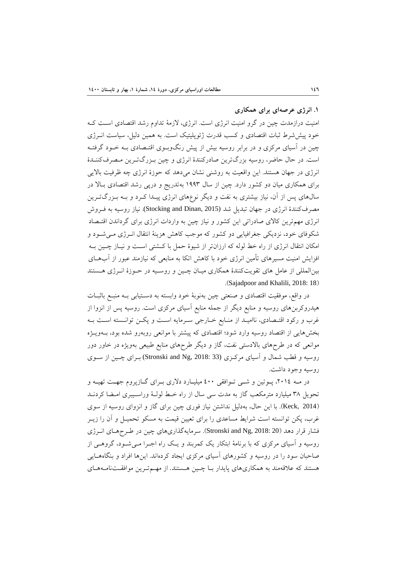**.1 انرژي عرصهاي براي همكاري** 

امنيت درازمدت چين در گرو امنيت انرژي است. انرژي، لازمة تداوم رشد اقتصادي اسـت كـه خود پيششرط ثبات اقتصادي و كسب قدرت ژئوپليتيك است. به همين دليل، سياست انـرژي چين در آسياي مركزي و در برابر روسيه بيش از پيش رنگوبـوي اقتـصادي بـه خـود گرفتـه است. در حال حاضر، روسيه بزرگترين صادركنندة انرژي و چين بـزرگتـرين مـصرفكننـدة انرژي در جهان هستند. اين واقعيت به روشني نشان ميدهد كه حوزة انرژي چه ظرفيت بالايي براي همكاري ميان دو كشور دارد. چين از سال 1993 بهتدريج و درپي رشد اقتصادي بـالا در سالهاي پس از آن، نياز بيشتري به نفت و ديگر نوعهاي انرژي پيـدا كـرد و بـه بـزرگتـرين مصرفكنندة انرژي در جهان تبديل شد (2015 ,Stocking and Dinan). نياز روسيه به فـروش انرژي مهمترين كالاي صادراتي اين كشور و نياز چين به واردات انرژي براي گرداندن اقتـصاد شكوفاي خود، نزديكي جغرافيايي دو كشور كه موجب كاهش هزينة انتقال انـرژي مـيشـود و امكان انتقال انرژي از راه خط لوله كه ارزانتر از شيوة حمل با كـشتي اسـت و نيـاز چـين بـه افزايش امنيت مسيرهاي تأمين انرژي خود با كاهش اتكا به منابعي كه نيازمند عبور از آبهـاي بينالمللي از عامل هاي تقويتكنندة همكاري ميـان چـين و روسـيه در حـوزة انـرژي هـستند .(Sajadpoor and Khalili, 2018: 18)

در واقع، موفقيت اقتصادي و صنعتي چين بهنوبة خود وابسته به دسـتيابي بـه منبـع باثبـات هيدروكربنهاي روسيه و منابع ديگر از جمله منابع آسياي مركزي است. روسيه پس از انزوا از غرب و ركود اقتـصادي، نااميـد از منـابع خـارجي سـرمايه اسـت و پكـن توانـسته اسـت بـه بخشهايي از اقتصاد روسيه وارد شود؛ اقتصادي كه پيشتر با موانعي روبهرو شده بود، بـهويـژه موانعي كه در طرحهاي بالادستي نفت، گاز و ديگر طرحهاي منابع طبيعي بهويژه در خاور دور روسيه و قطب شمال و آسياي مركـزي (33 :30kronski and Ng, 2018) بـراي چـين از سـوي روسيه وجود داشت.

در مـه ،2014 پـوتين و شـي تـوافقي 400 ميليـارد دلاري بـراي گـازپروم جهـت تهيـه و تحويل 38 ميليارد مترمكعب گاز به مدت سي سال از راه خـط لولـة وراسـيبري امـضا كردنـد (2014 ,Keck(. با اين حال، بهدليل نداشتن نياز فوري چين براي گاز و انزواي روسيه از سوي غرب، پكن توانسته است شرايط مساعدي را براي تعيين قيمت به مسكو تحميـل و آن را زيـر فشار قرار دهد (2018: 2018 Stronski and Ng,). سرمايهگذاريهاي چين در طـرحهـاي انـرژي روسيه و آسياي مركزي كه با برنامة ابتكار يك كمربند و يـك راه اجـرا مـيشـود، گروهـي از صاحبان سود را در روسيه و كشورهاي آسياي مركزي ايجاد كردهاند. اينها افراد و بنگاههـايي هستند كه علاقهمند به همكاريهاي پايدار بـا چـين هـستند. از مهـمتـرين موافقـتنامـههـاي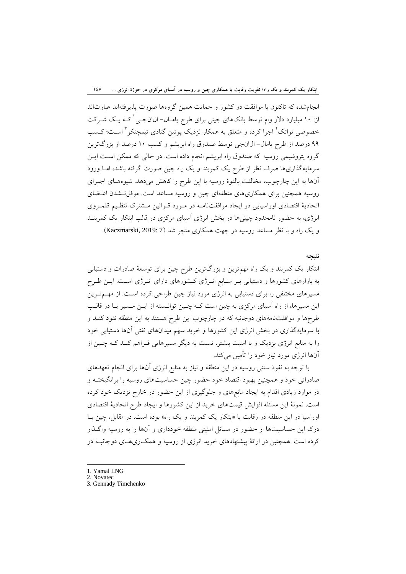انجامشده كه تاكنون با موافقت دو كشور و حمايت همين گروهها صورت پذيرفتهاند عبارتاند از: ١٠ ميليارد دلار وام توسط بانكهاي چيني براي طرح يامـال- ال\انجـي ٰ كـه يـك شـركت خصوصي نواتك<sup>٬ ا</sup>جرا كرده و متعلق به همكار نزديك پوتين گنادي تيمچنكو <sup>۳</sup> است؛ كـسب 99 درصد از طرح يامال- الانجي توسط صندوق راه ابريشم و كسب 10 درصد از بزرگترين گروه پتروشيمي روسيه كه صندوق راه ابريشم انجام داده است. در حالي كه ممكن اسـت ايـن سرمايهگذاريها صرف نظر از طرح يك كمربند و يك راه چين صورت گرفته باشد، امـا ورود آنها به اين چارچوب، مخالفت بالقوة روسيه با اين طرح را كاهش ميدهد. شيوههـاي اجـراي روسيه همچنين براي همكاريهاي منطقهاي چين و روسيه مساعد است. موفقنـشدن اعـضاي اتحادية اقتصادي اوراسيايي در ايجاد موافقتنامـه در مـورد قـوانين مـشترك تنظـيم قلمـروي انرژي، به حضور نامحدود چينيها در بخش انرژي آسياي مركزي در قالب ابتكار يك كمربنـد و يك راه و با نظر مساعد روسيه در جهت همكاري منجر شد (7 2019: ,Kaczmarski(.

### **نتيجه**

ابتكار يك كمربند و يك راه مهمترين و بزرگترين طرح چين براي توسعة صادرات و دستيابي به بازارهاي كشورها و دستيابي بـر منـابع انـرژي كـشورهاي داراي انـرژي اسـت. ايـن طـرح مسيرهاي مختلفي را براي دستيابي به انرژي مورد نياز چين طراحي كرده اسـت. از مهـمتـرين اين مسيرها، از راه آسياي مركزي به چين است كـه چـين توانـسته از ايـن مـسير يـا در قالـب طرحها و موافقتنامههاي دوجانبه كه در چارچوب اين طرح هستند به اين منطقه نفوذ كنـد و با سرمايهگذاري در بخش انرژي اين كشورها و خريد سهم ميدانهاي نفتي آنها دستيابي خود را به منابع انرژي نزديك و با امنيت بيشتر، نسبت به ديگر مسيرهايي فـراهم كنـد كـه چـين از آنها انرژي مورد نياز خود را تأمين ميكند.

با توجه به نفوذ سنتي روسيه در اين منطقه و نياز به منابع انرژي آنها براي انجام تعهدهاي صادراتي خود و همچنين بهبود اقتصاد خود حضور چين حساسيتهاي روسيه را برانگيختـه و در موارد زيادي اقدام به ايجاد مانعهاي و جلوگيري از اين حضور در خارج نزديك خود كرده است. نمونة اين مسئله افزايش قيمتهاي خريد از اين كشورها و ايجاد طرح اتحادية اقتصادي اوراسيا در اين منطقه در رقابت با «ابتكار يك كمربند و يك راه» بوده است. در مقابل، چين بـا درك اين حساسيتها از حضور در مسائل امنيتي منطقه خودداري و آنها را به روسيه واگـذار كرده است. همچنين در ارائة پيشنهادهاي خريد انرژي از روسيه و همكـاريهـاي دوجانبـه در

- 1. Yamal LNG
- 2. Novatec

<sup>3.</sup> Gennady Timchenko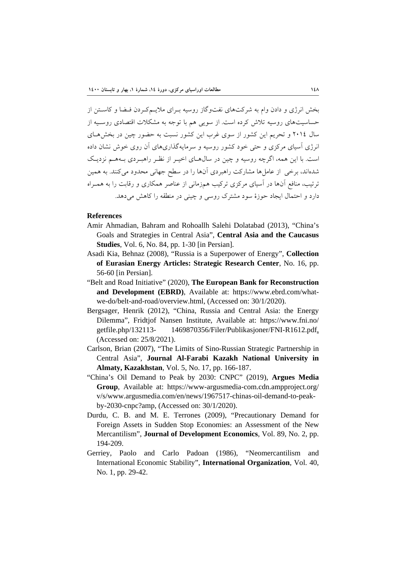بخش انرژي و دادن وام به شركتهاي نفتوگاز روسيه بـراي ملايـمكـردن فـضا و كاسـتن از حساسيتهاي روسيه تلاش كرده است. از سويي هم با توجه به مشكلات اقتصادي روسـيه از سال 2014 و تحريم اين كشور از سوي غرب اين كشور نسبت به حضور چين در بخشهـاي انرژي آسياي مركزي و حتي خود كشور روسيه و سرمايهگذاريهاي آن روي خوش نشان داده است. با اين همه، اگرچه روسيه و چين در سالهـاي اخيـر از نظـر راهبـردي بـههـم نزديـك شدهاند، برخي از عاملها مشاركت راهبردي آنها را در سطح جهاني محدود ميكنند. به همين ترتيب، منافع آنها در آسياي مركزي تركيب همزماني از عناصر همكاري و رقابت را به همـراه دارد و احتمال ايجاد حوزة سود مشترك روسي و چيني در منطقه را كاهش ميدهد.

#### **References**

- Amir Ahmadian, Bahram and Rohoallh Salehi Dolatabad (2013), "China's Goals and Strategies in Central Asia", **Central Asia and the Caucasus Studies**, Vol. 6, No. 84, pp. 1-30 [in Persian].
- Asadi Kia, Behnaz (2008), "Russia is a Superpower of Energy", **Collection of Eurasian Energy Articles: Strategic Research Center**, No. 16, pp. 56-60 [in Persian].
- "Belt and Road Initiative" (2020), **The European Bank for Reconstruction and Development (EBRD)**, Available at: https://www.ebrd.com/whatwe-do/belt-and-road/overview.html, (Accessed on: 30/1/2020).
- Bergsager, Henrik (2012), "China, Russia and Central Asia: the Energy Dilemma", Fridtjof Nansen Institute, Available at: https://www.fni.no/ getfile.php/132113- 1469870356/Filer/Publikasjoner/FNI-R1612.pdf, (Accessed on: 25/8/2021).
- Carlson, Brian (2007), "The Limits of Sino-Russian Strategic Partnership in Central Asia", **Journal Al-Farabi Kazakh National University in Almaty, Kazakhstan**, Vol. 5, No. 17, pp. 166-187.
- "China's Oil Demand to Peak by 2030: CNPC" (2019), **Argues Media Group**, Available at: https://www-argusmedia-com.cdn.ampproject.org/ v/s/www.argusmedia.com/en/news/1967517-chinas-oil-demand-to-peakby-2030-cnpc?amp, (Accessed on: 30/1/2020).
- Durdu, C. B. and M. E. Terrones (2009), "Precautionary Demand for Foreign Assets in Sudden Stop Economies: an Assessment of the New Mercantilism", **Journal of Development Economics**, Vol. 89, No. 2, pp. 194-209.
- Gerriey, Paolo and Carlo Padoan (1986), "Neomercantilism and International Economic Stability", **International Organization**, Vol. 40, No. 1, pp. 29-42.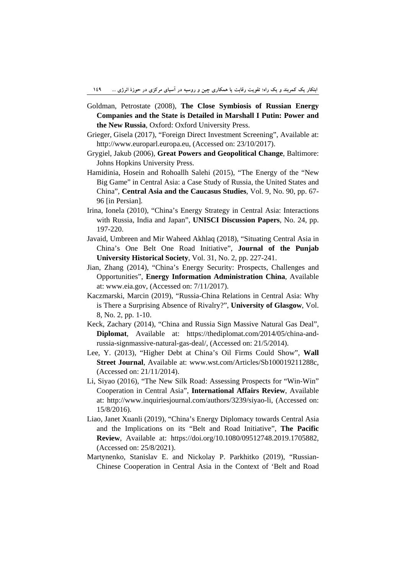- Goldman, Petrostate (2008), **The Close Symbiosis of Russian Energy Companies and the State is Detailed in Marshall I Putin: Power and the New Russia**, Oxford: Oxford University Press.
- Grieger, Gisela (2017), "Foreign Direct Investment Screening", Available at: http://www.europarl.europa.eu, (Accessed on: 23/10/2017).
- Grygiel, Jakub (2006), **Great Powers and Geopolitical Change**, Baltimore: Johns Hopkins University Press.
- Hamidinia, Hosein and Rohoallh Salehi (2015), "The Energy of the "New Big Game" in Central Asia: a Case Study of Russia, the United States and China", **Central Asia and the Caucasus Studies**, Vol. 9, No. 90, pp. 67- 96 [in Persian].
- Irina, Ionela (2010), "China's Energy Strategy in Central Asia: Interactions with Russia, India and Japan", **UNISCI Discussion Papers**, No. 24, pp. 197-220.
- Javaid, Umbreen and Mir Waheed Akhlaq (2018), "Situating Central Asia in China's One Belt One Road Initiative", **Journal of the Punjab University Historical Society**, Vol. 31, No. 2, pp. 227-241.
- Jian, Zhang (2014), "China's Energy Security: Prospects, Challenges and Opportunities", **Energy Information Administration China**, Available at: www.eia.gov, (Accessed on: 7/11/2017).
- Kaczmarski, Marcin (2019), "Russia-China Relations in Central Asia: Why is There a Surprising Absence of Rivalry?", **University of Glasgow**, Vol. 8, No. 2, pp. 1-10.
- Keck, Zachary (2014), "China and Russia Sign Massive Natural Gas Deal", **Diplomat**, Available at: https://thediplomat.com/2014/05/china-andrussia-signmassive-natural-gas-deal/, (Accessed on: 21/5/2014).
- Lee, Y. (2013), "Higher Debt at China's Oil Firms Could Show", **Wall Street Journal**, Available at: www.wst.com/Articles/Sb100019211288c, (Accessed on: 21/11/2014).
- Li, Siyao (2016), "The New Silk Road: Assessing Prospects for "Win-Win" Cooperation in Central Asia", **International Affairs Review**, Available at: http://www.inquiriesjournal.com/authors/3239/siyao-li, (Accessed on: 15/8/2016).
- Liao, Janet Xuanli (2019), "China's Energy Diplomacy towards Central Asia and the Implications on its "Belt and Road Initiative", **The Pacific Review**, Available at: https://doi.org/10.1080/09512748.2019.1705882, (Accessed on: 25/8/2021).
- Martynenko, Stanislav E. and Nickolay P. Parkhitko (2019), "Russian-Chinese Cooperation in Central Asia in the Context of 'Belt and Road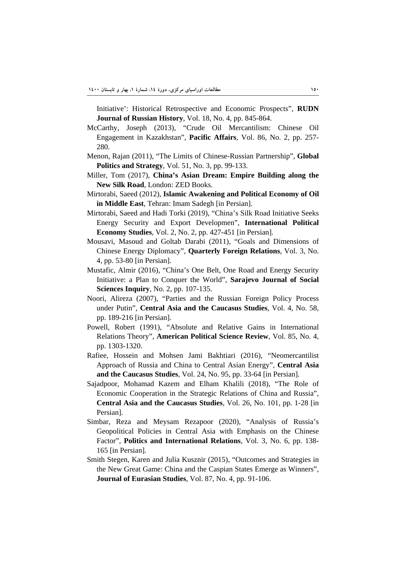Initiative': Historical Retrospective and Economic Prospects", **RUDN Journal of Russian History**, Vol. 18, No. 4, pp. 845-864.

- McCarthy, Joseph (2013), "Crude Oil Mercantilism: Chinese Oil Engagement in Kazakhstan", **Pacific Affairs**, Vol. 86, No. 2, pp. 257- 280.
- Menon, Rajan (2011), "The Limits of Chinese-Russian Partnership", **Global Politics and Strategy**, Vol. 51, No. 3, pp. 99-133.
- Miller, Tom (2017), **China's Asian Dream: Empire Building along the New Silk Road**, London: ZED Books.
- Mirtorabi, Saeed (2012), **Islamic Awakening and Political Economy of Oil in Middle East**, Tehran: Imam Sadegh [in Persian].
- Mirtorabi, Saeed and Hadi Torki (2019), "China's Silk Road Initiative Seeks Energy Security and Export Developmen", **International Political Economy Studies**, Vol. 2, No. 2, pp. 427-451 [in Persian].
- Mousavi, Masoud and Goltab Darabi (2011), "Goals and Dimensions of Chinese Energy Diplomacy", **Quarterly Foreign Relations**, Vol. 3, No. 4, pp. 53-80 [in Persian].
- Mustafic, Almir (2016), "China's One Belt, One Road and Energy Security Initiative: a Plan to Conquer the World", **Sarajevo Journal of Social Sciences Inquiry**, No. 2, pp. 107-135.
- Noori, Alireza (2007), "Parties and the Russian Foreign Policy Process under Putin", **Central Asia and the Caucasus Studies**, Vol. 4, No. 58, pp. 189-216 [in Persian].
- Powell, Robert (1991), "Absolute and Relative Gains in International Relations Theory", **American Political Science Review**, Vol. 85, No. 4, pp. 1303-1320.
- Rafiee, Hossein and Mohsen Jami Bakhtiari (2016), "Neomercantilist Approach of Russia and China to Central Asian Energy", **Central Asia and the Caucasus Studies**, Vol. 24, No. 95, pp. 33-64 [in Persian].
- Sajadpoor, Mohamad Kazem and Elham Khalili (2018), "The Role of Economic Cooperation in the Strategic Relations of China and Russia", **Central Asia and the Caucasus Studies**, Vol. 26, No. 101, pp. 1-28 [in Persian].
- Simbar, Reza and Meysam Rezapoor (2020), "Analysis of Russia's Geopolitical Policies in Central Asia with Emphasis on the Chinese Factor", **Politics and International Relations**, Vol. 3, No. 6, pp. 138- 165 [in Persian].
- Smith Stegen, Karen and Julia Kusznir (2015), "Outcomes and Strategies in the New Great Game: China and the Caspian States Emerge as Winners", **Journal of Eurasian Studies**, Vol. 87, No. 4, pp. 91-106.